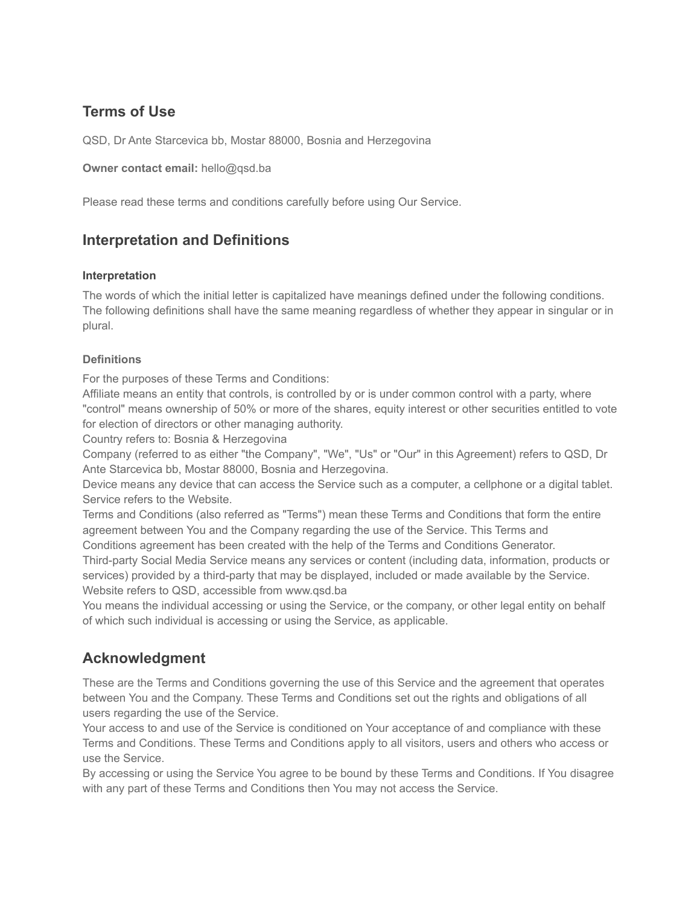### **Terms of Use**

QSD, Dr Ante Starcevica bb, Mostar 88000, Bosnia and Herzegovina

**Owner contact email:** [hello@qsd.ba](mailto:hello@qsd.ba)

Please read these terms and conditions carefully before using Our Service.

#### **Interpretation and Definitions**

#### **Interpretation**

The words of which the initial letter is capitalized have meanings defined under the following conditions. The following definitions shall have the same meaning regardless of whether they appear in singular or in plural.

#### **Definitions**

For the purposes of these Terms and Conditions:

Affiliate means an entity that controls, is controlled by or is under common control with a party, where "control" means ownership of 50% or more of the shares, equity interest or other securities entitled to vote for election of directors or other managing authority.

Country refers to: Bosnia & Herzegovina

Company (referred to as either "the Company", "We", "Us" or "Our" in this Agreement) refers to QSD, Dr Ante Starcevica bb, Mostar 88000, Bosnia and Herzegovina.

Device means any device that can access the Service such as a computer, a cellphone or a digital tablet. Service refers to the Website.

Terms and Conditions (also referred as "Terms") mean these Terms and Conditions that form the entire agreement between You and the Company regarding the use of the Service. This Terms and

Conditions agreement has been created with the help of the Terms and Conditions Generator. Third-party Social Media Service means any services or content (including data, information, products or services) provided by a third-party that may be displayed, included or made available by the Service. Website refers to QSD, accessible from [www.qsd.ba](http://www.qsd.ba/)

You means the individual accessing or using the Service, or the company, or other legal entity on behalf of which such individual is accessing or using the Service, as applicable.

#### **Acknowledgment**

These are the Terms and Conditions governing the use of this Service and the agreement that operates between You and the Company. These Terms and Conditions set out the rights and obligations of all users regarding the use of the Service.

Your access to and use of the Service is conditioned on Your acceptance of and compliance with these Terms and Conditions. These Terms and Conditions apply to all visitors, users and others who access or use the Service.

By accessing or using the Service You agree to be bound by these Terms and Conditions. If You disagree with any part of these Terms and Conditions then You may not access the Service.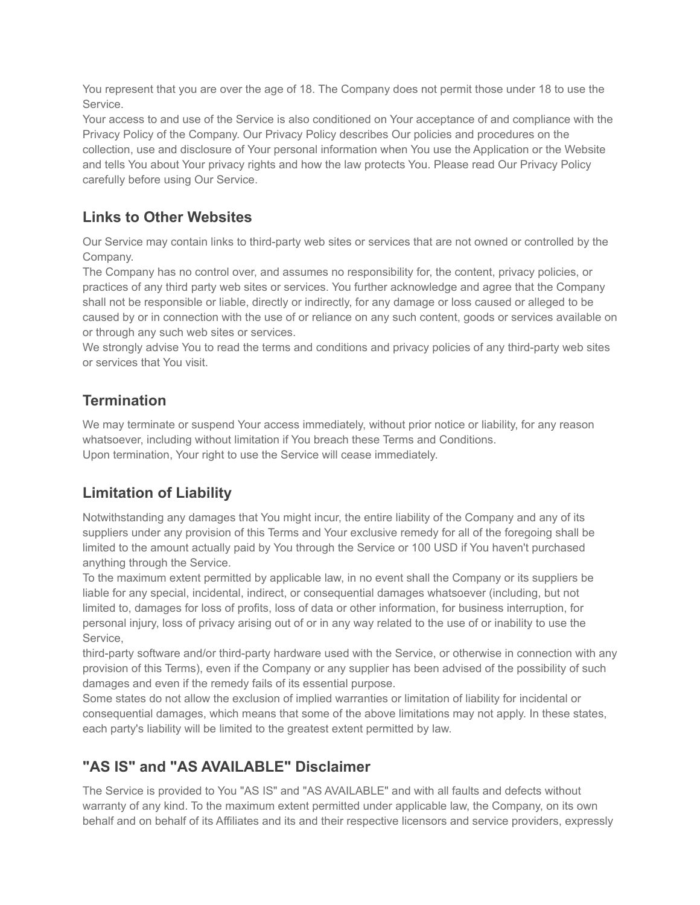You represent that you are over the age of 18. The Company does not permit those under 18 to use the Service.

Your access to and use of the Service is also conditioned on Your acceptance of and compliance with the Privacy Policy of the Company. Our Privacy Policy describes Our policies and procedures on the collection, use and disclosure of Your personal information when You use the Application or the Website and tells You about Your privacy rights and how the law protects You. Please read Our Privacy Policy carefully before using Our Service.

## **Links to Other Websites**

Our Service may contain links to third-party web sites or services that are not owned or controlled by the Company.

The Company has no control over, and assumes no responsibility for, the content, privacy policies, or practices of any third party web sites or services. You further acknowledge and agree that the Company shall not be responsible or liable, directly or indirectly, for any damage or loss caused or alleged to be caused by or in connection with the use of or reliance on any such content, goods or services available on or through any such web sites or services.

We strongly advise You to read the terms and conditions and privacy policies of any third-party web sites or services that You visit.

#### **Termination**

We may terminate or suspend Your access immediately, without prior notice or liability, for any reason whatsoever, including without limitation if You breach these Terms and Conditions. Upon termination, Your right to use the Service will cease immediately.

## **Limitation of Liability**

Notwithstanding any damages that You might incur, the entire liability of the Company and any of its suppliers under any provision of this Terms and Your exclusive remedy for all of the foregoing shall be limited to the amount actually paid by You through the Service or 100 USD if You haven't purchased anything through the Service.

To the maximum extent permitted by applicable law, in no event shall the Company or its suppliers be liable for any special, incidental, indirect, or consequential damages whatsoever (including, but not limited to, damages for loss of profits, loss of data or other information, for business interruption, for personal injury, loss of privacy arising out of or in any way related to the use of or inability to use the Service,

third-party software and/or third-party hardware used with the Service, or otherwise in connection with any provision of this Terms), even if the Company or any supplier has been advised of the possibility of such damages and even if the remedy fails of its essential purpose.

Some states do not allow the exclusion of implied warranties or limitation of liability for incidental or consequential damages, which means that some of the above limitations may not apply. In these states, each party's liability will be limited to the greatest extent permitted by law.

## **"AS IS" and "AS AVAILABLE" Disclaimer**

The Service is provided to You "AS IS" and "AS AVAILABLE" and with all faults and defects without warranty of any kind. To the maximum extent permitted under applicable law, the Company, on its own behalf and on behalf of its Affiliates and its and their respective licensors and service providers, expressly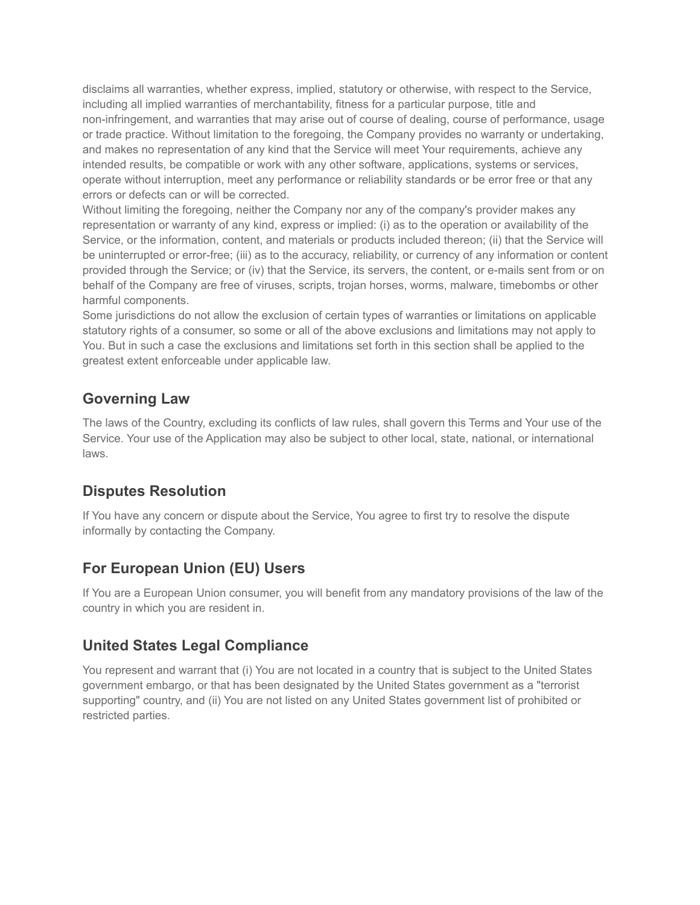disclaims all warranties, whether express, implied, statutory or otherwise, with respect to the Service, including all implied warranties of merchantability, fitness for a particular purpose, title and non-infringement, and warranties that may arise out of course of dealing, course of performance, usage or trade practice. Without limitation to the foregoing, the Company provides no warranty or undertaking, and makes no representation of any kind that the Service will meet Your requirements, achieve any intended results, be compatible or work with any other software, applications, systems or services, operate without interruption, meet any performance or reliability standards or be error free or that any errors or defects can or will be corrected.

Without limiting the foregoing, neither the Company nor any of the company's provider makes any representation or warranty of any kind, express or implied: (i) as to the operation or availability of the Service, or the information, content, and materials or products included thereon; (ii) that the Service will be uninterrupted or error-free; (iii) as to the accuracy, reliability, or currency of any information or content provided through the Service; or (iv) that the Service, its servers, the content, or e-mails sent from or on behalf of the Company are free of viruses, scripts, trojan horses, worms, malware, timebombs or other harmful components.

Some jurisdictions do not allow the exclusion of certain types of warranties or limitations on applicable statutory rights of a consumer, so some or all of the above exclusions and limitations may not apply to You. But in such a case the exclusions and limitations set forth in this section shall be applied to the greatest extent enforceable under applicable law.

### **Governing Law**

The laws of the Country, excluding its conflicts of law rules, shall govern this Terms and Your use of the Service. Your use of the Application may also be subject to other local, state, national, or international laws.

## **Disputes Resolution**

If You have any concern or dispute about the Service, You agree to first try to resolve the dispute informally by contacting the Company.

## **For European Union (EU) Users**

If You are a European Union consumer, you will benefit from any mandatory provisions of the law of the country in which you are resident in.

## **United States Legal Compliance**

You represent and warrant that (i) You are not located in a country that is subject to the United States government embargo, or that has been designated by the United States government as a "terrorist supporting" country, and (ii) You are not listed on any United States government list of prohibited or restricted parties.